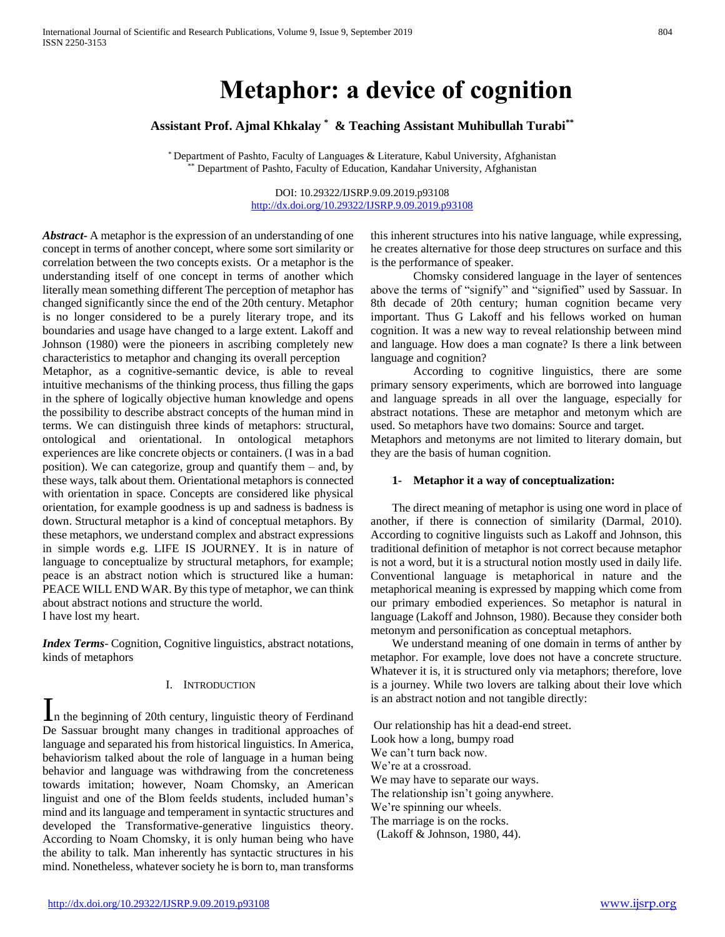# **Metaphor: a device of cognition**

**Assistant Prof. Ajmal Khkalay \* & Teaching Assistant Muhibullah Turabi\*\***

\* Department of Pashto, Faculty of Languages & Literature, Kabul University, Afghanistan \* Department of Pashto, Faculty of Education, Kandahar University, Afghanistan

> DOI: 10.29322/IJSRP.9.09.2019.p93108 <http://dx.doi.org/10.29322/IJSRP.9.09.2019.p93108>

*Abstract***-** A metaphor is the expression of an understanding of one concept in terms of another concept, where some sort similarity or correlation between the two concepts exists. Or a metaphor is the understanding itself of one concept in terms of another which literally mean something different The perception of metaphor has changed significantly since the end of the 20th century. Metaphor is no longer considered to be a purely literary trope, and its boundaries and usage have changed to a large extent. Lakoff and Johnson (1980) were the pioneers in ascribing completely new characteristics to metaphor and changing its overall perception

Metaphor, as a cognitive-semantic device, is able to reveal intuitive mechanisms of the thinking process, thus filling the gaps in the sphere of logically objective human knowledge and opens the possibility to describe abstract concepts of the human mind in terms. We can distinguish three kinds of metaphors: structural, ontological and orientational. In ontological metaphors experiences are like concrete objects or containers. (I was in a bad position). We can categorize, group and quantify them – and, by these ways, talk about them. Orientational metaphors is connected with orientation in space. Concepts are considered like physical orientation, for example goodness is up and sadness is badness is down. Structural metaphor is a kind of conceptual metaphors. By these metaphors, we understand complex and abstract expressions in simple words e.g. LIFE IS JOURNEY. It is in nature of language to conceptualize by structural metaphors, for example; peace is an abstract notion which is structured like a human: PEACE WILL END WAR. By this type of metaphor, we can think about abstract notions and structure the world. I have lost my heart.

*Index Terms*- Cognition, Cognitive linguistics, abstract notations, kinds of metaphors

#### I. INTRODUCTION

In the beginning of 20th century, linguistic theory of Ferdinand De Sassuar brought many changes in traditional approaches of language and separated his from historical linguistics. In America, behaviorism talked about the role of language in a human being behavior and language was withdrawing from the concreteness towards imitation; however, Noam Chomsky, an American linguist and one of the Blom feelds students, included human's mind and its language and temperament in syntactic structures and developed the Transformative-generative linguistics theory. According to Noam Chomsky, it is only human being who have the ability to talk. Man inherently has syntactic structures in his mind. Nonetheless, whatever society he is born to, man transforms

this inherent structures into his native language, while expressing, he creates alternative for those deep structures on surface and this is the performance of speaker.

Chomsky considered language in the layer of sentences above the terms of "signify" and "signified" used by Sassuar. In 8th decade of 20th century; human cognition became very important. Thus G Lakoff and his fellows worked on human cognition. It was a new way to reveal relationship between mind and language. How does a man cognate? Is there a link between language and cognition?

According to cognitive linguistics, there are some primary sensory experiments, which are borrowed into language and language spreads in all over the language, especially for abstract notations. These are metaphor and metonym which are used. So metaphors have two domains: Source and target.

Metaphors and metonyms are not limited to literary domain, but they are the basis of human cognition.

#### **1- Metaphor it a way of conceptualization:**

The direct meaning of metaphor is using one word in place of another, if there is connection of similarity (Darmal, 2010). According to cognitive linguists such as Lakoff and Johnson, this traditional definition of metaphor is not correct because metaphor is not a word, but it is a structural notion mostly used in daily life. Conventional language is metaphorical in nature and the metaphorical meaning is expressed by mapping which come from our primary embodied experiences. So metaphor is natural in language (Lakoff and Johnson, 1980). Because they consider both metonym and personification as conceptual metaphors.

We understand meaning of one domain in terms of anther by metaphor. For example, love does not have a concrete structure. Whatever it is, it is structured only via metaphors; therefore, love is a journey. While two lovers are talking about their love which is an abstract notion and not tangible directly:

Our relationship has hit a dead-end street. Look how a long, bumpy road We can't turn back now. We're at a crossroad. We may have to separate our ways. The relationship isn't going anywhere. We're spinning our wheels. The marriage is on the rocks. (Lakoff & Johnson, 1980, 44).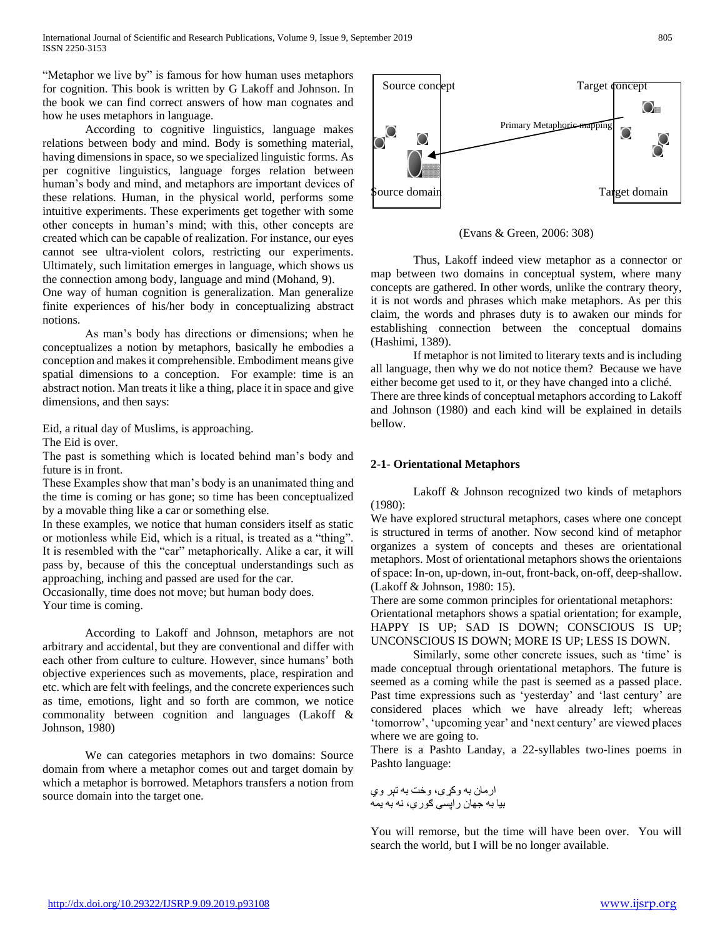"Metaphor we live by" is famous for how human uses metaphors for cognition. This book is written by G Lakoff and Johnson. In the book we can find correct answers of how man cognates and how he uses metaphors in language.

According to cognitive linguistics, language makes relations between body and mind. Body is something material, having dimensions in space, so we specialized linguistic forms. As per cognitive linguistics, language forges relation between human's body and mind, and metaphors are important devices of these relations. Human, in the physical world, performs some intuitive experiments. These experiments get together with some other concepts in human's mind; with this, other concepts are created which can be capable of realization. For instance, our eyes cannot see ultra-violent colors, restricting our experiments. Ultimately, such limitation emerges in language, which shows us the connection among body, language and mind (Mohand, 9).

One way of human cognition is generalization. Man generalize finite experiences of his/her body in conceptualizing abstract notions.

As man's body has directions or dimensions; when he conceptualizes a notion by metaphors, basically he embodies a conception and makes it comprehensible. Embodiment means give spatial dimensions to a conception. For example: time is an abstract notion. Man treats it like a thing, place it in space and give dimensions, and then says:

Eid, a ritual day of Muslims, is approaching.

The Eid is over.

The past is something which is located behind man's body and future is in front.

These Examples show that man's body is an unanimated thing and the time is coming or has gone; so time has been conceptualized by a movable thing like a car or something else.

In these examples, we notice that human considers itself as static or motionless while Eid, which is a ritual, is treated as a "thing". It is resembled with the "car" metaphorically. Alike a car, it will pass by, because of this the conceptual understandings such as approaching, inching and passed are used for the car.

Occasionally, time does not move; but human body does. Your time is coming.

According to Lakoff and Johnson, metaphors are not arbitrary and accidental, but they are conventional and differ with each other from culture to culture. However, since humans' both objective experiences such as movements, place, respiration and etc. which are felt with feelings, and the concrete experiences such as time, emotions, light and so forth are common, we notice commonality between cognition and languages (Lakoff & Johnson, 1980)

We can categories metaphors in two domains: Source domain from where a metaphor comes out and target domain by which a metaphor is borrowed. Metaphors transfers a notion from source domain into the target one.



(Evans & Green, 2006: 308)

Thus, Lakoff indeed view metaphor as a connector or map between two domains in conceptual system, where many concepts are gathered. In other words, unlike the contrary theory, it is not words and phrases which make metaphors. As per this claim, the words and phrases duty is to awaken our minds for establishing connection between the conceptual domains (Hashimi, 1389).

If metaphor is not limited to literary texts and is including all language, then why we do not notice them? Because we have either become get used to it, or they have changed into a cliché. There are three kinds of conceptual metaphors according to Lakoff and Johnson (1980) and each kind will be explained in details bellow.

# **2-1- Orientational Metaphors**

Lakoff & Johnson recognized two kinds of metaphors (1980):

We have explored structural metaphors, cases where one concept is structured in terms of another. Now second kind of metaphor organizes a system of concepts and theses are orientational metaphors. Most of orientational metaphors shows the orientaions of space: In-on, up-down, in-out, front-back, on-off, deep-shallow. (Lakoff & Johnson, 1980: 15).

There are some common principles for orientational metaphors: Orientational metaphors shows a spatial orientation; for example, HAPPY IS UP; SAD IS DOWN; CONSCIOUS IS UP; UNCONSCIOUS IS DOWN; MORE IS UP; LESS IS DOWN.

Similarly, some other concrete issues, such as 'time' is made conceptual through orientational metaphors. The future is seemed as a coming while the past is seemed as a passed place. Past time expressions such as 'yesterday' and 'last century' are considered places which we have already left; whereas 'tomorrow', 'upcoming year' and 'next century' are viewed places where we are going to.

There is a Pashto Landay, a 22-syllables two-lines poems in Pashto language:

ارمان به وکړې، وخت به تېر وي بيا به جهان راپسې ګورې، نه به يمه

You will remorse, but the time will have been over. You will search the world, but I will be no longer available.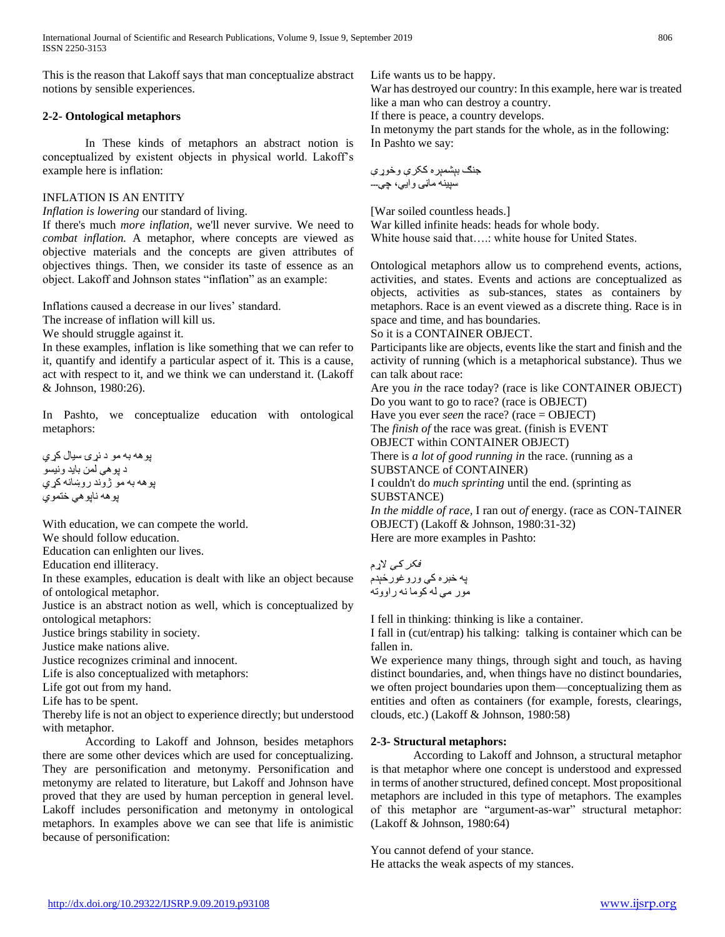This is the reason that Lakoff says that man conceptualize abstract notions by sensible experiences.

## **2-2- Ontological metaphors**

In These kinds of metaphors an abstract notion is conceptualized by existent objects in physical world. Lakoff's example here is inflation:

## INFLATION IS AN ENTITY

*Inflation is lowering* our standard of living.

If there's much *more inflation,* we'll never survive. We need to *combat inflation.* A metaphor, where concepts are viewed as objective materials and the concepts are given attributes of objectives things. Then, we consider its taste of essence as an object. Lakoff and Johnson states "inflation" as an example:

Inflations caused a decrease in our lives' standard.

The increase of inflation will kill us.

We should struggle against it.

In these examples, inflation is like something that we can refer to it, quantify and identify a particular aspect of it. This is a cause, act with respect to it, and we think we can understand it. (Lakoff & Johnson, 1980:26).

In Pashto, we conceptualize education with ontological metaphors:

پوهه به مو د نړۍ سيال کړي د پوهې لمن بايد ونيسو پوهه به مو ژوند روښانه کړي پوهه ناپوهي ختموي

With education, we can compete the world.

We should follow education.

Education can enlighten our lives.

Education end illiteracy.

In these examples, education is dealt with like an object because of ontological metaphor.

Justice is an abstract notion as well, which is conceptualized by ontological metaphors:

Justice brings stability in society.

Justice make nations alive.

Justice recognizes criminal and innocent.

Life is also conceptualized with metaphors:

Life got out from my hand.

Life has to be spent.

Thereby life is not an object to experience directly; but understood with metaphor.

According to Lakoff and Johnson, besides metaphors there are some other devices which are used for conceptualizing. They are personification and metonymy. Personification and metonymy are related to literature, but Lakoff and Johnson have proved that they are used by human perception in general level. Lakoff includes personification and metonymy in ontological metaphors. In examples above we can see that life is animistic because of personification:

Life wants us to be happy.

War has destroyed our country: In this example, here war is treated like a man who can destroy a country.

If there is peace, a country develops.

In metonymy the part stands for the whole, as in the following: In Pashto we say:

جنګ بېشمېره ککرې وخوړې سپينه ماڼۍ وايي، چې۔۔۔

[War soiled countless heads.] War killed infinite heads: heads for whole body. White house said that….: white house for United States.

Ontological metaphors allow us to comprehend events, actions, activities, and states. Events and actions are conceptualized as objects, activities as sub-stances, states as containers by metaphors. Race is an event viewed as a discrete thing. Race is in space and time, and has boundaries.

So it is a CONTAINER OBJECT.

Participants like are objects, events like the start and finish and the activity of running (which is a metaphorical substance). Thus we can talk about race:

Are you *in* the race today? (race is like CONTAINER OBJECT) Do you want to go to race? (race is OBJECT)

Have you ever *seen* the race? (race = OBJECT)

The *finish of* the race was great. (finish is EVENT

OBJECT within CONTAINER OBJECT)

There is *a lot of good running in* the race. (running as a SUBSTANCE of CONTAINER)

I couldn't do *much sprinting* until the end. (sprinting as SUBSTANCE)

*In the middle of race,* I ran out *of* energy. (race as CON-TAINER OBJECT) (Lakoff & Johnson, 1980:31-32) Here are more examples in Pashto:

فکر کې الړم په خبره کې وروغورځېدم مور مې له کوما نه راووته

I fell in thinking: thinking is like a container.

I fall in (cut/entrap) his talking: talking is container which can be fallen in.

We experience many things, through sight and touch, as having distinct boundaries, and, when things have no distinct boundaries, we often project boundaries upon them—conceptualizing them as entities and often as containers (for example, forests, clearings, clouds, etc.) (Lakoff & Johnson, 1980:58)

# **2-3- Structural metaphors:**

According to Lakoff and Johnson, a structural metaphor is that metaphor where one concept is understood and expressed in terms of another structured, defined concept. Most propositional metaphors are included in this type of metaphors. The examples of this metaphor are "argument-as-war" structural metaphor: (Lakoff & Johnson, 1980:64)

You cannot defend of your stance. He attacks the weak aspects of my stances.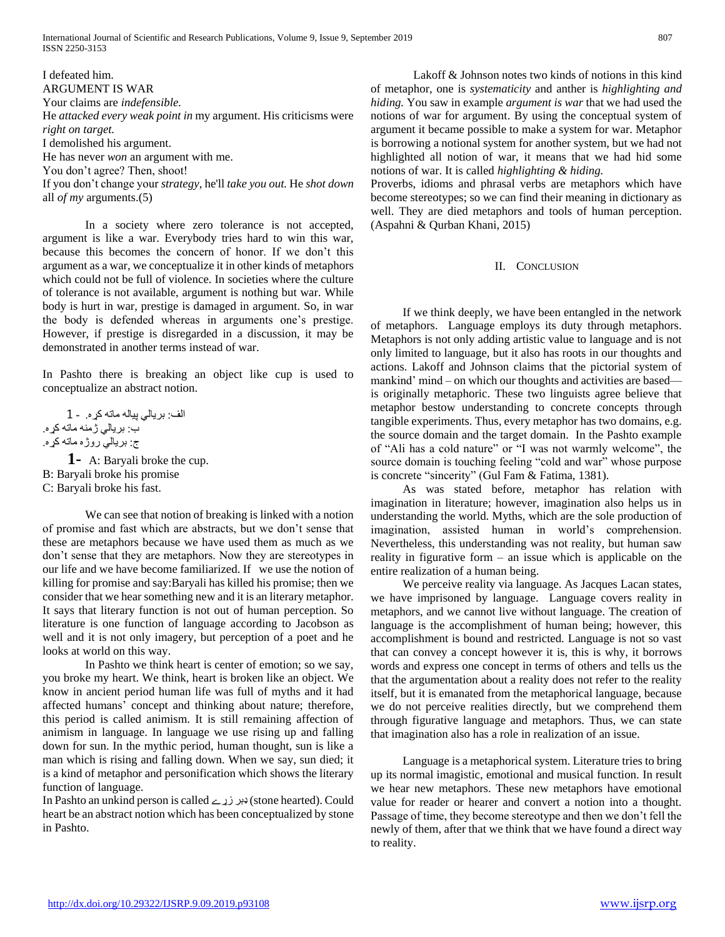I defeated him. ARGUMENT IS WAR Your claims are *indefensible.*  He *attacked every weak point in* my argument. His criticisms were *right on target.*  I demolished his argument. He has never *won* an argument with me. You don't agree? Then, shoot! If you don't change your *strategy,* he'll *take you out.* He *shot down*  all *of my* arguments.(5)

In a society where zero tolerance is not accepted, argument is like a war. Everybody tries hard to win this war, because this becomes the concern of honor. If we don't this argument as a war, we conceptualize it in other kinds of metaphors which could not be full of violence. In societies where the culture of tolerance is not available, argument is nothing but war. While body is hurt in war, prestige is damaged in argument. So, in war the body is defended whereas in arguments one's prestige. However, if prestige is disregarded in a discussion, it may be demonstrated in another terms instead of war.

In Pashto there is breaking an object like cup is used to conceptualize an abstract notion.

الف: بريالي پياله ماته کړه. 1- ب: بريالي ژمنه ماته کړه. ج: بريالي روژه ماته کړه.

**1-** A: Baryali broke the cup. B: Baryali broke his promise C: Baryali broke his fast.

We can see that notion of breaking is linked with a notion of promise and fast which are abstracts, but we don't sense that these are metaphors because we have used them as much as we don't sense that they are metaphors. Now they are stereotypes in our life and we have become familiarized. If we use the notion of killing for promise and say:Baryali has killed his promise; then we consider that we hear something new and it is an literary metaphor. It says that literary function is not out of human perception. So literature is one function of language according to Jacobson as well and it is not only imagery, but perception of a poet and he looks at world on this way.

In Pashto we think heart is center of emotion; so we say, you broke my heart. We think, heart is broken like an object. We know in ancient period human life was full of myths and it had affected humans' concept and thinking about nature; therefore, this period is called animism. It is still remaining affection of animism in language. In language we use rising up and falling down for sun. In the mythic period, human thought, sun is like a man which is rising and falling down. When we say, sun died; it is a kind of metaphor and personification which shows the literary function of language.

In Pashto an unkind person is called زړے ډبر) stone hearted). Could heart be an abstract notion which has been conceptualized by stone in Pashto.

Lakoff & Johnson notes two kinds of notions in this kind of metaphor, one is *systematicity* and anther is *highlighting and hiding.* You saw in example *argument is war* that we had used the notions of war for argument. By using the conceptual system of argument it became possible to make a system for war. Metaphor is borrowing a notional system for another system, but we had not highlighted all notion of war, it means that we had hid some notions of war. It is called *highlighting & hiding.*

Proverbs, idioms and phrasal verbs are metaphors which have become stereotypes; so we can find their meaning in dictionary as well. They are died metaphors and tools of human perception. (Aspahni & Qurban Khani, 2015)

### II. CONCLUSION

If we think deeply, we have been entangled in the network of metaphors. Language employs its duty through metaphors. Metaphors is not only adding artistic value to language and is not only limited to language, but it also has roots in our thoughts and actions. Lakoff and Johnson claims that the pictorial system of mankind' mind – on which our thoughts and activities are based is originally metaphoric. These two linguists agree believe that metaphor bestow understanding to concrete concepts through tangible experiments. Thus, every metaphor has two domains, e.g. the source domain and the target domain. In the Pashto example of "Ali has a cold nature" or "I was not warmly welcome", the source domain is touching feeling "cold and war" whose purpose is concrete "sincerity" (Gul Fam & Fatima, 1381).

As was stated before, metaphor has relation with imagination in literature; however, imagination also helps us in understanding the world. Myths, which are the sole production of imagination, assisted human in world's comprehension. Nevertheless, this understanding was not reality, but human saw reality in figurative form – an issue which is applicable on the entire realization of a human being.

We perceive reality via language. As Jacques Lacan states, we have imprisoned by language. Language covers reality in metaphors, and we cannot live without language. The creation of language is the accomplishment of human being; however, this accomplishment is bound and restricted. Language is not so vast that can convey a concept however it is, this is why, it borrows words and express one concept in terms of others and tells us the that the argumentation about a reality does not refer to the reality itself, but it is emanated from the metaphorical language, because we do not perceive realities directly, but we comprehend them through figurative language and metaphors. Thus, we can state that imagination also has a role in realization of an issue.

Language is a metaphorical system. Literature tries to bring up its normal imagistic, emotional and musical function. In result we hear new metaphors. These new metaphors have emotional value for reader or hearer and convert a notion into a thought. Passage of time, they become stereotype and then we don't fell the newly of them, after that we think that we have found a direct way to reality.